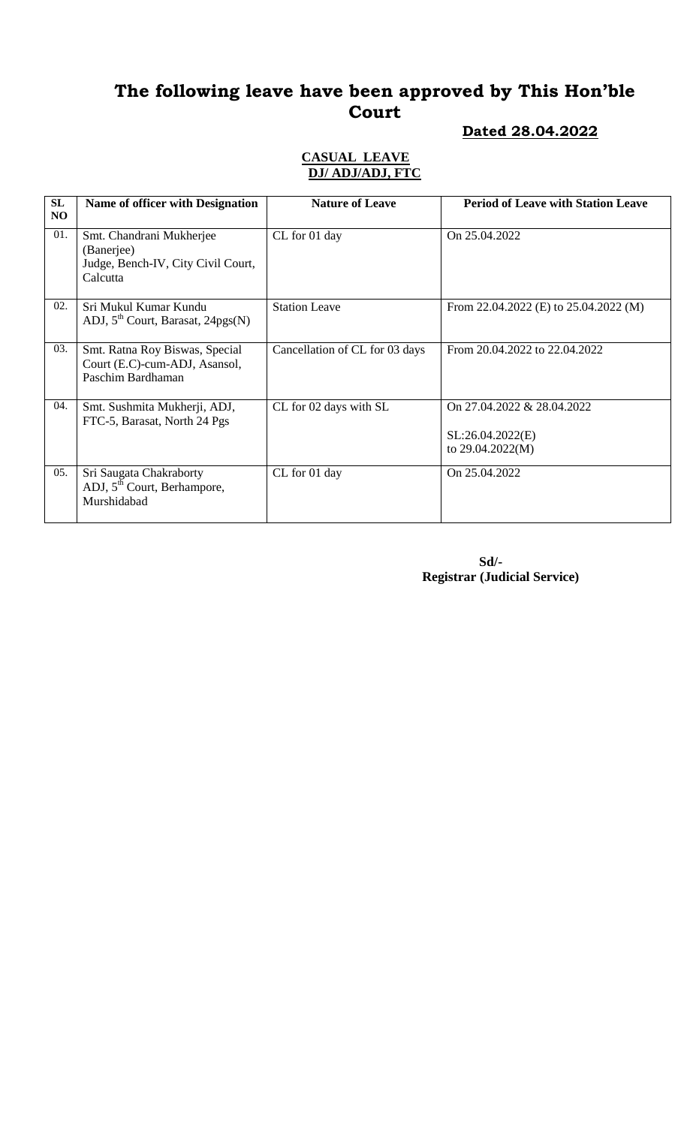# **The following leave have been approved by This Hon'ble Court**

#### **Dated 28.04.2022**

#### **CASUAL LEAVE DJ/ ADJ/ADJ, FTC**

| SL<br>NO | <b>Name of officer with Designation</b>                                                  | <b>Nature of Leave</b>         | <b>Period of Leave with Station Leave</b>                          |
|----------|------------------------------------------------------------------------------------------|--------------------------------|--------------------------------------------------------------------|
| 01.      | Smt. Chandrani Mukherjee<br>(Banerjee)<br>Judge, Bench-IV, City Civil Court,<br>Calcutta | CL for 01 day                  | On 25.04.2022                                                      |
| 02.      | Sri Mukul Kumar Kundu<br>ADJ, $5^{th}$ Court, Barasat, 24pgs(N)                          | <b>Station Leave</b>           | From 22.04.2022 (E) to $25.04.2022$ (M)                            |
| 03.      | Smt. Ratna Roy Biswas, Special<br>Court (E.C)-cum-ADJ, Asansol,<br>Paschim Bardhaman     | Cancellation of CL for 03 days | From 20.04.2022 to 22.04.2022                                      |
| 04.      | Smt. Sushmita Mukherji, ADJ,<br>FTC-5, Barasat, North 24 Pgs                             | CL for 02 days with SL         | On 27.04.2022 & 28.04.2022<br>SL:26.04.2022(E)<br>to 29.04.2022(M) |
| 05.      | Sri Saugata Chakraborty<br>ADJ, 5 <sup>th</sup> Court, Berhampore,<br>Murshidabad        | CL for 01 day                  | On 25.04.2022                                                      |

 **Sd/- Registrar (Judicial Service)**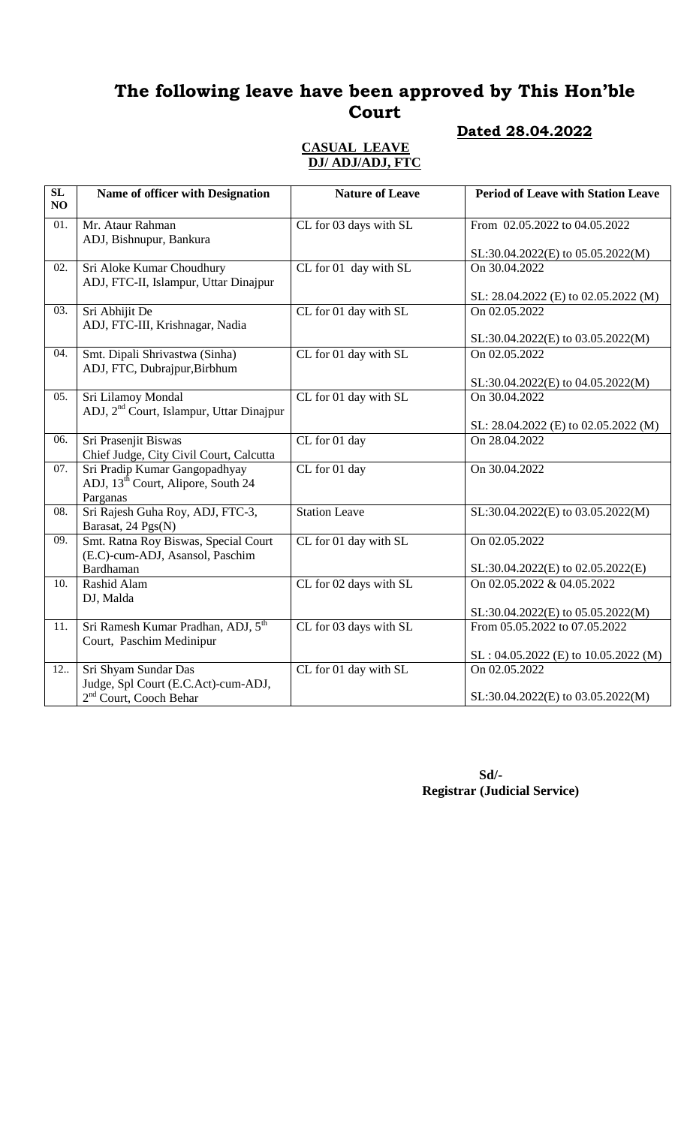# **The following leave have been approved by This Hon'ble Court**

#### **Dated 28.04.2022**

#### **CASUAL LEAVE DJ/ ADJ/ADJ, FTC**

| $\overline{\text{SL}}$<br>NO | Name of officer with Designation                                                            | <b>Nature of Leave</b> | <b>Period of Leave with Station Leave</b> |
|------------------------------|---------------------------------------------------------------------------------------------|------------------------|-------------------------------------------|
| 01.                          | Mr. Ataur Rahman<br>ADJ, Bishnupur, Bankura                                                 | CL for 03 days with SL | From 02.05.2022 to 04.05.2022             |
|                              |                                                                                             |                        | SL:30.04.2022(E) to 05.05.2022(M)         |
| 02.                          | Sri Aloke Kumar Choudhury<br>ADJ, FTC-II, Islampur, Uttar Dinajpur                          | CL for 01 day with SL  | On 30.04.2022                             |
|                              |                                                                                             |                        | SL: 28.04.2022 (E) to 02.05.2022 (M)      |
| 03.                          | Sri Abhijit De<br>ADJ, FTC-III, Krishnagar, Nadia                                           | CL for 01 day with SL  | On 02.05.2022                             |
|                              |                                                                                             |                        | SL:30.04.2022(E) to 03.05.2022(M)         |
| 04.                          | Smt. Dipali Shrivastwa (Sinha)<br>ADJ, FTC, Dubrajpur, Birbhum                              | CL for 01 day with SL  | On 02.05.2022                             |
|                              |                                                                                             |                        | SL:30.04.2022(E) to 04.05.2022(M)         |
| 05.                          | Sri Lilamoy Mondal<br>ADJ, 2 <sup>nd</sup> Court, Islampur, Uttar Dinajpur                  | CL for 01 day with SL  | On 30.04.2022                             |
|                              |                                                                                             |                        | SL: 28.04.2022 (E) to 02.05.2022 (M)      |
| 06.                          | Sri Prasenjit Biswas<br>Chief Judge, City Civil Court, Calcutta                             | CL for 01 day          | On 28.04.2022                             |
| 07.                          | Sri Pradip Kumar Gangopadhyay<br>ADJ, 13 <sup>th</sup> Court, Alipore, South 24<br>Parganas | CL for 01 day          | On 30.04.2022                             |
| 08.                          | Sri Rajesh Guha Roy, ADJ, FTC-3,<br>Barasat, 24 Pgs(N)                                      | <b>Station Leave</b>   | SL:30.04.2022(E) to 03.05.2022(M)         |
| 09.                          | Smt. Ratna Roy Biswas, Special Court<br>(E.C)-cum-ADJ, Asansol, Paschim                     | CL for 01 day with SL  | On 02.05.2022                             |
|                              | Bardhaman                                                                                   |                        | SL:30.04.2022(E) to 02.05.2022(E)         |
| 10.                          | Rashid Alam<br>DJ, Malda                                                                    | CL for 02 days with SL | On 02.05.2022 & 04.05.2022                |
|                              |                                                                                             |                        | SL:30.04.2022(E) to 05.05.2022(M)         |
| 11.                          | Sri Ramesh Kumar Pradhan, ADJ, 5 <sup>th</sup><br>Court, Paschim Medinipur                  | CL for 03 days with SL | From 05.05.2022 to 07.05.2022             |
|                              |                                                                                             |                        | SL: 04.05.2022 (E) to 10.05.2022 (M)      |
| 12.                          | Sri Shyam Sundar Das<br>Judge, Spl Court (E.C.Act)-cum-ADJ,                                 | CL for 01 day with SL  | On 02.05.2022                             |
|                              | 2 <sup>nd</sup> Court, Cooch Behar                                                          |                        | SL:30.04.2022(E) to 03.05.2022(M)         |

 **Sd/- Registrar (Judicial Service)**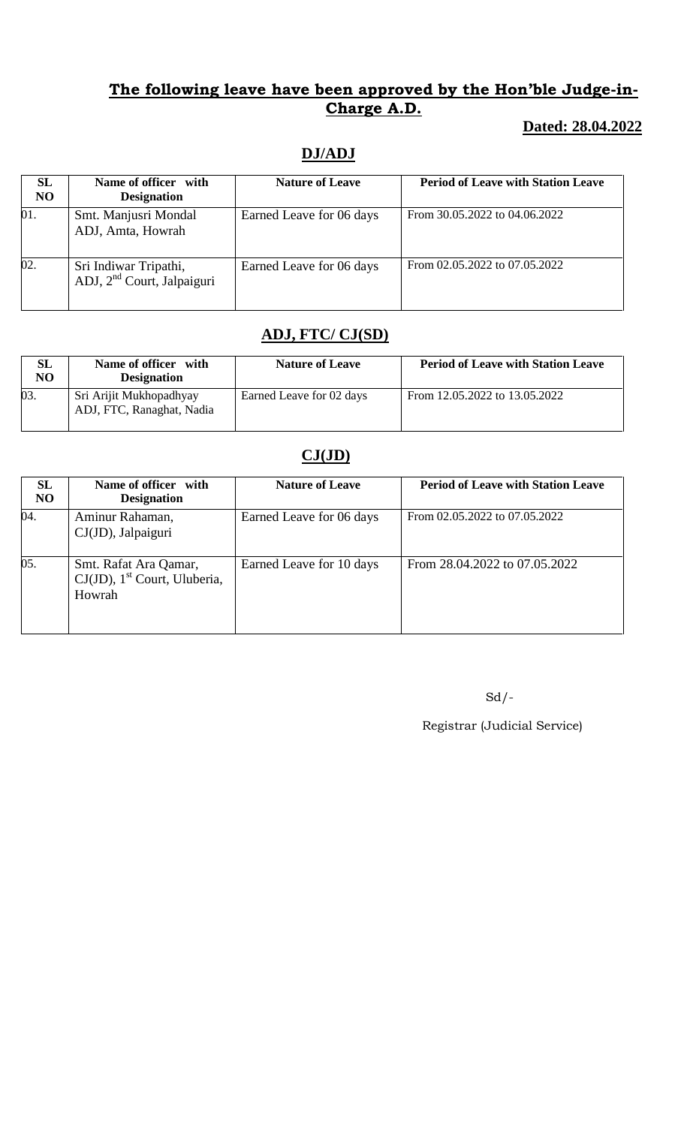### **The following leave have been approved by the Hon'ble Judge-in-Charge A.D.**

## **Dated: 28.04.2022**

# **DJ/ADJ**

| <b>SL</b><br>N <sub>O</sub> | Name of officer with<br><b>Designation</b>                      | <b>Nature of Leave</b>   | <b>Period of Leave with Station Leave</b> |
|-----------------------------|-----------------------------------------------------------------|--------------------------|-------------------------------------------|
| 01.                         | Smt. Manjusri Mondal<br>ADJ, Amta, Howrah                       | Earned Leave for 06 days | From 30.05.2022 to 04.06.2022             |
| 02.                         | Sri Indiwar Tripathi,<br>ADJ, 2 <sup>nd</sup> Court, Jalpaiguri | Earned Leave for 06 days | From 02.05.2022 to 07.05.2022             |

## **ADJ, FTC/ CJ(SD)**

| <b>SL</b><br>NO | Name of officer with<br><b>Designation</b>           | <b>Nature of Leave</b>   | <b>Period of Leave with Station Leave</b> |
|-----------------|------------------------------------------------------|--------------------------|-------------------------------------------|
| 03.             | Sri Arijit Mukhopadhyay<br>ADJ, FTC, Ranaghat, Nadia | Earned Leave for 02 days | From 12.05.2022 to 13.05.2022             |

# **CJ(JD)**

| <b>SL</b><br>N <sub>O</sub> | Name of officer with<br><b>Designation</b>                                     | <b>Nature of Leave</b>   | <b>Period of Leave with Station Leave</b> |
|-----------------------------|--------------------------------------------------------------------------------|--------------------------|-------------------------------------------|
| 04.                         | Aminur Rahaman,<br>CJ(JD), Jalpaiguri                                          | Earned Leave for 06 days | From 02.05.2022 to 07.05.2022             |
| 05.                         | Smt. Rafat Ara Qamar,<br>$CJ(JD)$ , 1 <sup>st</sup> Court, Uluberia,<br>Howrah | Earned Leave for 10 days | From 28.04.2022 to 07.05.2022             |

Sd/-

Registrar (Judicial Service)